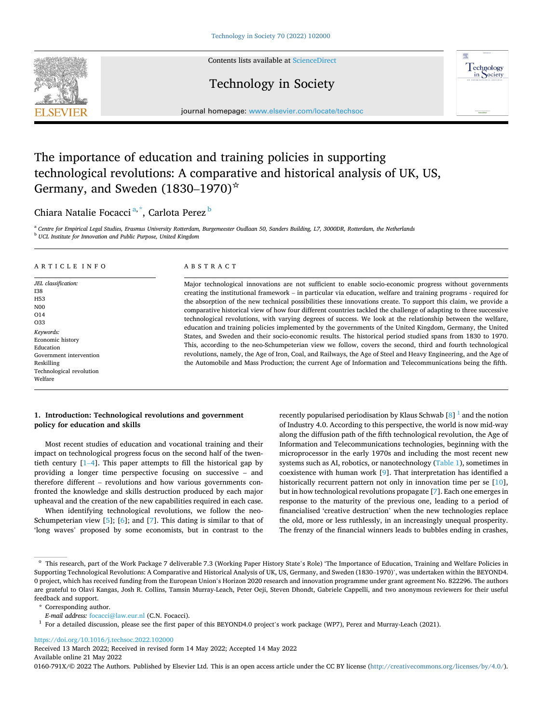

Contents lists available at [ScienceDirect](www.sciencedirect.com/science/journal/0160791X)

## Technology in Society



journal homepage: [www.elsevier.com/locate/techsoc](https://www.elsevier.com/locate/techsoc) 

# The importance of education and training policies in supporting technological revolutions: A comparative and historical analysis of UK, US, Germany, and Sweden  $(1830-1970)^{\dot{x}}$

## Chiara Natalie Focacci<sup>a,\*</sup>, Carlota Perez <sup>b</sup>

<sup>a</sup> *Centre for Empirical Legal Studies, Erasmus University Rotterdam, Burgemeester Oudlaan 50, Sanders Building, L7, 3000DR, Rotterdam, the Netherlands* <sup>b</sup> *UCL Institute for Innovation and Public Purpose, United Kingdom* 

## ARTICLE INFO

*JEL classification:*  I38 H53 N00 O14 O33 *Keywords:*  Economic history Education Government intervention Reskilling Technological revolution Welfare

#### ABSTRACT

Major technological innovations are not sufficient to enable socio-economic progress without governments creating the institutional framework – in particular via education, welfare and training programs - required for the absorption of the new technical possibilities these innovations create. To support this claim, we provide a comparative historical view of how four different countries tackled the challenge of adapting to three successive technological revolutions, with varying degrees of success. We look at the relationship between the welfare, education and training policies implemented by the governments of the United Kingdom, Germany, the United States, and Sweden and their socio-economic results. The historical period studied spans from 1830 to 1970. This, according to the neo-Schumpeterian view we follow, covers the second, third and fourth technological revolutions, namely, the Age of Iron, Coal, and Railways, the Age of Steel and Heavy Engineering, and the Age of the Automobile and Mass Production; the current Age of Information and Telecommunications being the fifth.

## **1. Introduction: Technological revolutions and government policy for education and skills**

Most recent studies of education and vocational training and their impact on technological progress focus on the second half of the twentieth century [1–[4\]](#page-11-0). This paper attempts to fill the historical gap by providing a longer time perspective focusing on successive – and therefore different – revolutions and how various governments confronted the knowledge and skills destruction produced by each major upheaval and the creation of the new capabilities required in each case.

When identifying technological revolutions, we follow the neo-Schumpeterian view  $[5]$ ;  $[6]$ ; and  $[7]$ . This dating is similar to that of 'long waves' proposed by some economists, but in contrast to the recently popularised periodisation by Klaus Schwab  $\lceil 8 \rceil$  and the notion of Industry 4.0. According to this perspective, the world is now mid-way along the diffusion path of the fifth technological revolution, the Age of Information and Telecommunications technologies, beginning with the microprocessor in the early 1970s and including the most recent new systems such as AI, robotics, or nanotechnology [\(Table 1](#page-1-0)), sometimes in coexistence with human work [\[9\]](#page-11-0). That interpretation has identified a historically recurrent pattern not only in innovation time per se [\[10](#page-11-0)], but in how technological revolutions propagate [\[7\]](#page-11-0). Each one emerges in response to the maturity of the previous one, leading to a period of financialised 'creative destruction' when the new technologies replace the old, more or less ruthlessly, in an increasingly unequal prosperity. The frenzy of the financial winners leads to bubbles ending in crashes,

<https://doi.org/10.1016/j.techsoc.2022.102000>

Available online 21 May 2022 Received 13 March 2022; Received in revised form 14 May 2022; Accepted 14 May 2022

0160-791X/© 2022 The Authors. Published by Elsevier Ltd. This is an open access article under the CC BY license [\(http://creativecommons.org/licenses/by/4.0/\)](http://creativecommons.org/licenses/by/4.0/).

<sup>☆</sup> This research, part of the Work Package 7 deliverable 7.3 (Working Paper History State's Role) 'The Importance of Education, Training and Welfare Policies in Supporting Technological Revolutions: A Comparative and Historical Analysis of UK, US, Germany, and Sweden (1830–1970)', was undertaken within the BEYOND4. 0 project, which has received funding from the European Union's Horizon 2020 research and innovation programme under grant agreement No. 822296. The authors are grateful to Olavi Kangas, Josh R. Collins, Tamsin Murray-Leach, Peter Oeji, Steven Dhondt, Gabriele Cappelli, and two anonymous reviewers for their useful feedback and support.

<sup>\*</sup> Corresponding author.<br>E-mail address: focacci@law.eur.nl (C.N. Focacci).

<sup>&</sup>lt;sup>1</sup> For a detailed discussion, please see the first paper of this BEYOND4.0 project's work package (WP7), Perez and Murray-Leach (2021).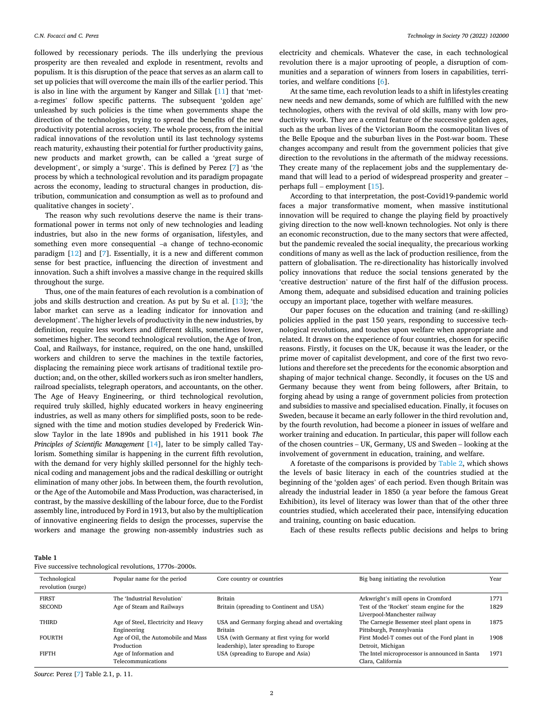<span id="page-1-0"></span>followed by recessionary periods. The ills underlying the previous prosperity are then revealed and explode in resentment, revolts and populism. It is this disruption of the peace that serves as an alarm call to set up policies that will overcome the main ills of the earlier period. This is also in line with the argument by Kanger and Sillak [[11\]](#page-11-0) that 'meta-regimes' follow specific patterns. The subsequent 'golden age' unleashed by such policies is the time when governments shape the direction of the technologies, trying to spread the benefits of the new productivity potential across society. The whole process, from the initial radical innovations of the revolution until its last technology systems reach maturity, exhausting their potential for further productivity gains, new products and market growth, can be called a 'great surge of development', or simply a 'surge'. This is defined by Perez [[7](#page-11-0)] as 'the process by which a technological revolution and its paradigm propagate across the economy, leading to structural changes in production, distribution, communication and consumption as well as to profound and qualitative changes in society'.

The reason why such revolutions deserve the name is their transformational power in terms not only of new technologies and leading industries, but also in the new forms of organisation, lifestyles, and something even more consequential –a change of techno-economic paradigm [\[12](#page-11-0)] and [\[7\]](#page-11-0). Essentially, it is a new and different common sense for best practice, influencing the direction of investment and innovation. Such a shift involves a massive change in the required skills throughout the surge.

Thus, one of the main features of each revolution is a combination of jobs and skills destruction and creation. As put by Su et al. [[13\]](#page-11-0); 'the labor market can serve as a leading indicator for innovation and development'. The higher levels of productivity in the new industries, by definition, require less workers and different skills, sometimes lower, sometimes higher. The second technological revolution, the Age of Iron, Coal, and Railways, for instance, required, on the one hand, unskilled workers and children to serve the machines in the textile factories, displacing the remaining piece work artisans of traditional textile production; and, on the other, skilled workers such as iron smelter handlers, railroad specialists, telegraph operators, and accountants, on the other. The Age of Heavy Engineering, or third technological revolution, required truly skilled, highly educated workers in heavy engineering industries, as well as many others for simplified posts, soon to be redesigned with the time and motion studies developed by Frederick Winslow Taylor in the late 1890s and published in his 1911 book *The Principles of Scientific Management* [\[14](#page-11-0)], later to be simply called Taylorism. Something similar is happening in the current fifth revolution, with the demand for very highly skilled personnel for the highly technical coding and management jobs and the radical deskilling or outright elimination of many other jobs. In between them, the fourth revolution, or the Age of the Automobile and Mass Production, was characterised, in contrast, by the massive deskilling of the labour force, due to the Fordist assembly line, introduced by Ford in 1913, but also by the multiplication of innovative engineering fields to design the processes, supervise the workers and manage the growing non-assembly industries such as

electricity and chemicals. Whatever the case, in each technological revolution there is a major uprooting of people, a disruption of communities and a separation of winners from losers in capabilities, territories, and welfare conditions [\[6\]](#page-11-0).

At the same time, each revolution leads to a shift in lifestyles creating new needs and new demands, some of which are fulfilled with the new technologies, others with the revival of old skills, many with low productivity work. They are a central feature of the successive golden ages, such as the urban lives of the Victorian Boom the cosmopolitan lives of the Belle Epoque and the suburban lives in the Post-war boom. These changes accompany and result from the government policies that give direction to the revolutions in the aftermath of the midway recessions. They create many of the replacement jobs and the supplementary demand that will lead to a period of widespread prosperity and greater – perhaps full – employment [\[15](#page-11-0)].

According to that interpretation, the post-Covid19-pandemic world faces a major transformative moment, when massive institutional innovation will be required to change the playing field by proactively giving direction to the now well-known technologies. Not only is there an economic reconstruction, due to the many sectors that were affected, but the pandemic revealed the social inequality, the precarious working conditions of many as well as the lack of production resilience, from the pattern of globalisation. The re-directionality has historically involved policy innovations that reduce the social tensions generated by the 'creative destruction' nature of the first half of the diffusion process. Among them, adequate and subsidised education and training policies occupy an important place, together with welfare measures.

Our paper focuses on the education and training (and re-skilling) policies applied in the past 150 years, responding to successive technological revolutions, and touches upon welfare when appropriate and related. It draws on the experience of four countries, chosen for specific reasons. Firstly, it focuses on the UK, because it was the leader, or the prime mover of capitalist development, and core of the first two revolutions and therefore set the precedents for the economic absorption and shaping of major technical change. Secondly, it focuses on the US and Germany because they went from being followers, after Britain, to forging ahead by using a range of government policies from protection and subsidies to massive and specialised education. Finally, it focuses on Sweden, because it became an early follower in the third revolution and, by the fourth revolution, had become a pioneer in issues of welfare and worker training and education. In particular, this paper will follow each of the chosen countries – UK, Germany, US and Sweden – looking at the involvement of government in education, training, and welfare.

A foretaste of the comparisons is provided by [Table 2,](#page-2-0) which shows the levels of basic literacy in each of the countries studied at the beginning of the 'golden ages' of each period. Even though Britain was already the industrial leader in 1850 (a year before the famous Great Exhibition), its level of literacy was lower than that of the other three countries studied, which accelerated their pace, intensifying education and training, counting on basic education.

Each of these results reflects public decisions and helps to bring

|  |  |  |  | Five successive technological revolutions, 1770s-2000s. |
|--|--|--|--|---------------------------------------------------------|
|--|--|--|--|---------------------------------------------------------|

| Technological<br>revolution (surge) | Popular name for the period         | Core country or countries                    | Big bang initiating the revolution             | Year |
|-------------------------------------|-------------------------------------|----------------------------------------------|------------------------------------------------|------|
| <b>FIRST</b>                        | The 'Industrial Revolution'         | Britain                                      | Arkwright's mill opens in Cromford             | 1771 |
| <b>SECOND</b>                       | Age of Steam and Railways           | Britain (spreading to Continent and USA)     | Test of the 'Rocket' steam engine for the      | 1829 |
|                                     |                                     |                                              | Liverpool-Manchester railway                   |      |
| <b>THIRD</b>                        | Age of Steel, Electricity and Heavy | USA and Germany forging ahead and overtaking | The Carnegie Bessemer steel plant opens in     | 1875 |
|                                     | Engineering                         | Britain                                      | Pittsburgh, Pennsylvania                       |      |
| <b>FOURTH</b>                       | Age of Oil, the Automobile and Mass | USA (with Germany at first vying for world   | First Model-T comes out of the Ford plant in   | 1908 |
|                                     | Production                          | leadership), later spreading to Europe       | Detroit, Michigan                              |      |
| <b>FIFTH</b>                        | Age of Information and              | USA (spreading to Europe and Asia)           | The Intel microprocessor is announced in Santa | 1971 |
|                                     | Telecommunications                  |                                              | Clara, California                              |      |

*Source*: Perez [\[7](#page-11-0)] Table 2.1, p. 11.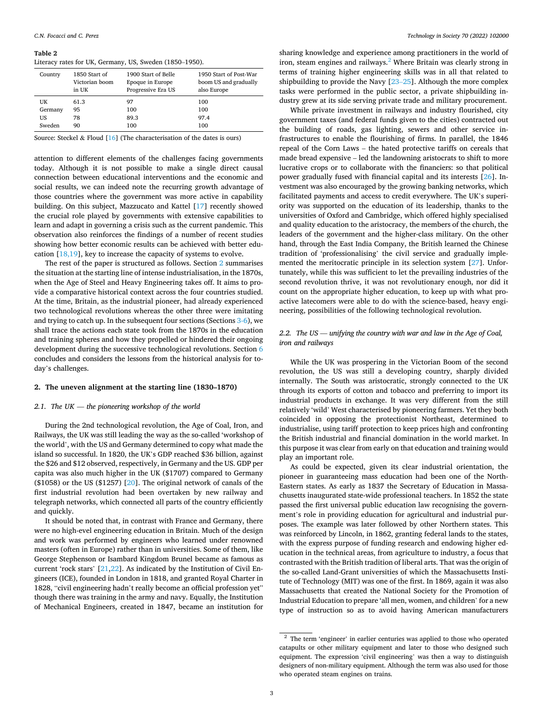#### <span id="page-2-0"></span>**Table 2**

Literacy rates for UK, Germany, US, Sweden (1850–1950).

| Country | 1850 Start of<br>Victorian boom<br>in UK | 1900 Start of Belle<br>Epoque in Europe<br>Progressive Era US | 1950 Start of Post-War<br>boom US and gradually<br>also Europe |
|---------|------------------------------------------|---------------------------------------------------------------|----------------------------------------------------------------|
| UK      | 61.3                                     | 97                                                            | 100                                                            |
| Germany | 95                                       | 100                                                           | 100                                                            |
| US      | 78                                       | 89.3                                                          | 97.4                                                           |
| Sweden  | 90                                       | 100                                                           | 100                                                            |

Source: Steckel & Floud [[16\]](#page-11-0) (The characterisation of the dates is ours)

attention to different elements of the challenges facing governments today. Although it is not possible to make a single direct causal connection between educational interventions and the economic and social results, we can indeed note the recurring growth advantage of those countries where the government was more active in capability building. On this subject, Mazzucato and Kattel [\[17](#page-11-0)] recently showed the crucial role played by governments with extensive capabilities to learn and adapt in governing a crisis such as the current pandemic. This observation also reinforces the findings of a number of recent studies showing how better economic results can be achieved with better education [\[18,19](#page-11-0)], key to increase the capacity of systems to evolve.

The rest of the paper is structured as follows. Section 2 summarises the situation at the starting line of intense industrialisation, in the 1870s, when the Age of Steel and Heavy Engineering takes off. It aims to provide a comparative historical context across the four countries studied. At the time, Britain, as the industrial pioneer, had already experienced two technological revolutions whereas the other three were imitating and trying to catch up. In the subsequent four sections (Sections [3-6\)](#page-6-0), we shall trace the actions each state took from the 1870s in the education and training spheres and how they propelled or hindered their ongoing development during the successive technological revolutions. Section [6](#page-10-0)  concludes and considers the lessons from the historical analysis for today's challenges.

#### **2. The uneven alignment at the starting line (1830–1870)**

#### *2.1. The UK* — *the pioneering workshop of the world*

During the 2nd technological revolution, the Age of Coal, Iron, and Railways, the UK was still leading the way as the so-called 'workshop of the world', with the US and Germany determined to copy what made the island so successful. In 1820, the UK's GDP reached \$36 billion, against the \$26 and \$12 observed, respectively, in Germany and the US. GDP per capita was also much higher in the UK (\$1707) compared to Germany (\$1058) or the US (\$1257)  $[20]$  $[20]$ . The original network of canals of the first industrial revolution had been overtaken by new railway and telegraph networks, which connected all parts of the country efficiently and quickly.

It should be noted that, in contrast with France and Germany, there were no high-evel engineering education in Britain. Much of the design and work was performed by engineers who learned under renowned masters (often in Europe) rather than in universities. Some of them, like George Stephenson or Isambard Kingdom Brunel became as famous as current 'rock stars' [\[21,22](#page-11-0)]. As indicated by the Institution of Civil Engineers (ICE), founded in London in 1818, and granted Royal Charter in 1828, "civil engineering hadn't really become an official profession yet" though there was training in the army and navy. Equally, the Institution of Mechanical Engineers, created in 1847, became an institution for

sharing knowledge and experience among practitioners in the world of iron, steam engines and railways. $<sup>2</sup>$  Where Britain was clearly strong in</sup> terms of training higher engineering skills was in all that related to shipbuilding to provide the Navy [\[23](#page-11-0)–25]. Although the more complex tasks were performed in the public sector, a private shipbuilding industry grew at its side serving private trade and military procurement.

While private investment in railways and industry flourished, city government taxes (and federal funds given to the cities) contracted out the building of roads, gas lighting, sewers and other service infrastructures to enable the flourishing of firms. In parallel, the 1846 repeal of the Corn Laws – the hated protective tariffs on cereals that made bread expensive – led the landowning aristocrats to shift to more lucrative crops or to collaborate with the financiers: so that political power gradually fused with financial capital and its interests [[26\]](#page-11-0). Investment was also encouraged by the growing banking networks, which facilitated payments and access to credit everywhere. The UK's superiority was supported on the education of its leadership, thanks to the universities of Oxford and Cambridge, which offered highly specialised and quality education to the aristocracy, the members of the church, the leaders of the government and the higher-class military. On the other hand, through the East India Company, the British learned the Chinese tradition of 'professionalising' the civil service and gradually implemented the meritocratic principle in its selection system [\[27](#page-11-0)]. Unfortunately, while this was sufficient to let the prevailing industries of the second revolution thrive, it was not revolutionary enough, nor did it count on the appropriate higher education, to keep up with what proactive latecomers were able to do with the science-based, heavy engineering, possibilities of the following technological revolution.

## *2.2. The US* — *unifying the country with war and law in the Age of Coal, iron and railways*

While the UK was prospering in the Victorian Boom of the second revolution, the US was still a developing country, sharply divided internally. The South was aristocratic, strongly connected to the UK through its exports of cotton and tobacco and preferring to import its industrial products in exchange. It was very different from the still relatively 'wild' West characterised by pioneering farmers. Yet they both coincided in opposing the protectionist Northeast, determined to industrialise, using tariff protection to keep prices high and confronting the British industrial and financial domination in the world market. In this purpose it was clear from early on that education and training would play an important role.

As could be expected, given its clear industrial orientation, the pioneer in guaranteeing mass education had been one of the North-Eastern states. As early as 1837 the Secretary of Education in Massachusetts inaugurated state-wide professional teachers. In 1852 the state passed the first universal public education law recognising the government's role in providing education for agricultural and industrial purposes. The example was later followed by other Northern states. This was reinforced by Lincoln, in 1862, granting federal lands to the states, with the express purpose of funding research and endowing higher education in the technical areas, from agriculture to industry, a focus that contrasted with the British tradition of liberal arts. That was the origin of the so-called Land-Grant universities of which the Massachusetts Institute of Technology (MIT) was one of the first. In 1869, again it was also Massachusetts that created the National Society for the Promotion of Industrial Education to prepare 'all men, women, and children' for a new type of instruction so as to avoid having American manufacturers

<sup>&</sup>lt;sup>2</sup> The term 'engineer' in earlier centuries was applied to those who operated catapults or other military equipment and later to those who designed such equipment. The expression 'civil engineering' was then a way to distinguish designers of non-military equipment. Although the term was also used for those who operated steam engines on trains.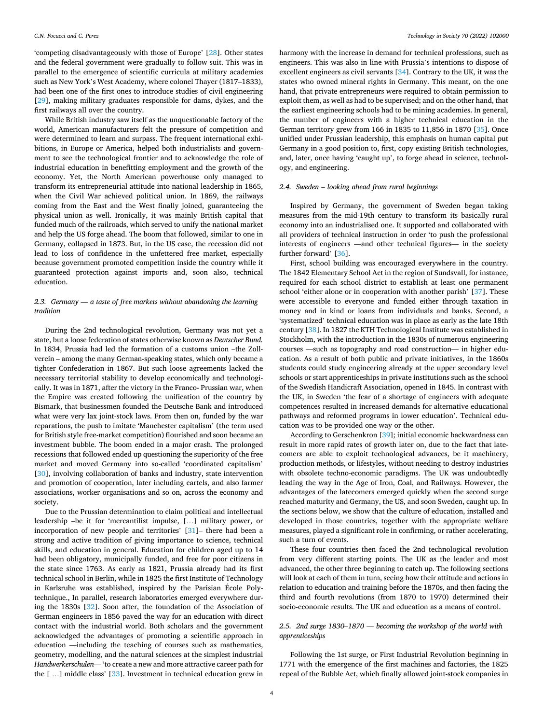'competing disadvantageously with those of Europe' [\[28](#page-11-0)]. Other states and the federal government were gradually to follow suit. This was in parallel to the emergence of scientific curricula at military academies such as New York's West Academy, where colonel Thayer (1817–1833), had been one of the first ones to introduce studies of civil engineering [[29\]](#page-11-0), making military graduates responsible for dams, dykes, and the first railways all over the country.

While British industry saw itself as the unquestionable factory of the world, American manufacturers felt the pressure of competition and were determined to learn and surpass. The frequent international exhibitions, in Europe or America, helped both industrialists and government to see the technological frontier and to acknowledge the role of industrial education in benefitting employment and the growth of the economy. Yet, the North American powerhouse only managed to transform its entrepreneurial attitude into national leadership in 1865, when the Civil War achieved political union. In 1869, the railways coming from the East and the West finally joined, guaranteeing the physical union as well. Ironically, it was mainly British capital that funded much of the railroads, which served to unify the national market and help the US forge ahead. The boom that followed, similar to one in Germany, collapsed in 1873. But, in the US case, the recession did not lead to loss of confidence in the unfettered free market, especially because government promoted competition inside the country while it guaranteed protection against imports and, soon also, technical education.

## *2.3. Germany* — *a taste of free markets without abandoning the learning tradition*

During the 2nd technological revolution, Germany was not yet a state, but a loose federation of states otherwise known as *Deutscher Bund.*  In 1834, Prussia had led the formation of a customs union –the Zollverein – among the many German-speaking states, which only became a tighter Confederation in 1867. But such loose agreements lacked the necessary territorial stability to develop economically and technologically. It was in 1871, after the victory in the Franco- Prussian war, when the Empire was created following the unification of the country by Bismark, that businessmen founded the Deutsche Bank and introduced what were very lax joint-stock laws. From then on, funded by the war reparations, the push to imitate 'Manchester capitalism' (the term used for British style free-market competition) flourished and soon became an investment bubble. The boom ended in a major crash. The prolonged recessions that followed ended up questioning the superiority of the free market and moved Germany into so-called 'coordinated capitalism' [[30\]](#page-11-0), involving collaboration of banks and industry, state intervention and promotion of cooperation, later including cartels, and also farmer associations, worker organisations and so on, across the economy and society.

Due to the Prussian determination to claim political and intellectual leadership –be it for 'mercantilist impulse, […] military power, or incorporation of new people and territories' [[31\]](#page-11-0)– there had been a strong and active tradition of giving importance to science, technical skills, and education in general. Education for children aged up to 14 had been obligatory, municipally funded, and free for poor citizens in the state since 1763. As early as 1821, Prussia already had its first technical school in Berlin, while in 1825 the first Institute of Technology in Karlsruhe was established, inspired by the Parisian Ecole Polytechnique., In parallel, research laboratories emerged everywhere during the 1830s [[32\]](#page-11-0). Soon after, the foundation of the Association of German engineers in 1856 paved the way for an education with direct contact with the industrial world. Both scholars and the government acknowledged the advantages of promoting a scientific approach in education —including the teaching of courses such as mathematics, geometry, modelling, and the natural sciences at the simplest industrial *Handwerkerschulen*— 'to create a new and more attractive career path for the [ …] middle class' [[33\]](#page-11-0). Investment in technical education grew in

harmony with the increase in demand for technical professions, such as engineers. This was also in line with Prussia's intentions to dispose of excellent engineers as civil servants [[34\]](#page-11-0). Contrary to the UK, it was the states who owned mineral rights in Germany. This meant, on the one hand, that private entrepreneurs were required to obtain permission to exploit them, as well as had to be supervised; and on the other hand, that the earliest engineering schools had to be mining academies. In general, the number of engineers with a higher technical education in the German territory grew from 166 in 1835 to 11,856 in 1870 [[35\]](#page-11-0). Once unified under Prussian leadership, this emphasis on human capital put Germany in a good position to, first, copy existing British technologies, and, later, once having 'caught up', to forge ahead in science, technology, and engineering.

#### *2.4. Sweden* – *looking ahead from rural beginnings*

Inspired by Germany, the government of Sweden began taking measures from the mid-19th century to transform its basically rural economy into an industrialised one. It supported and collaborated with all providers of technical instruction in order 'to push the professional interests of engineers —and other technical figures— in the society further forward' [[36\]](#page-11-0).

First, school building was encouraged everywhere in the country. The 1842 Elementary School Act in the region of Sundsvall, for instance, required for each school district to establish at least one permanent school 'either alone or in cooperation with another parish' [\[37](#page-11-0)]. These were accessible to everyone and funded either through taxation in money and in kind or loans from individuals and banks. Second, a 'systematized' technical education was in place as early as the late 18th century [\[38](#page-11-0)]. In 1827 the KTH Technological Institute was established in Stockholm, with the introduction in the 1830s of numerous engineering courses —such as topography and road construction— in higher education. As a result of both public and private initiatives, in the 1860s students could study engineering already at the upper secondary level schools or start apprenticeships in private institutions such as the school of the Swedish Handicraft Association, opened in 1845. In contrast with the UK, in Sweden 'the fear of a shortage of engineers with adequate competences resulted in increased demands for alternative educational pathways and reformed programs in lower education'. Technical education was to be provided one way or the other.

According to Gerschenkron [\[39](#page-11-0)]; initial economic backwardness can result in more rapid rates of growth later on, due to the fact that latecomers are able to exploit technological advances, be it machinery, production methods, or lifestyles, without needing to destroy industries with obsolete techno-economic paradigms. The UK was undoubtedly leading the way in the Age of Iron, Coal, and Railways. However, the advantages of the latecomers emerged quickly when the second surge reached maturity and Germany, the US, and soon Sweden, caught up. In the sections below, we show that the culture of education, installed and developed in those countries, together with the appropriate welfare measures, played a significant role in confirming, or rather accelerating, such a turn of events.

These four countries then faced the 2nd technological revolution from very different starting points. The UK as the leader and most advanced, the other three beginning to catch up. The following sections will look at each of them in turn, seeing how their attitude and actions in relation to education and training before the 1870s, and then facing the third and fourth revolutions (from 1870 to 1970) determined their socio-economic results. The UK and education as a means of control.

## *2.5. 2nd surge 1830*–*1870* — *becoming the workshop of the world with apprenticeships*

Following the 1st surge, or First Industrial Revolution beginning in 1771 with the emergence of the first machines and factories, the 1825 repeal of the Bubble Act, which finally allowed joint-stock companies in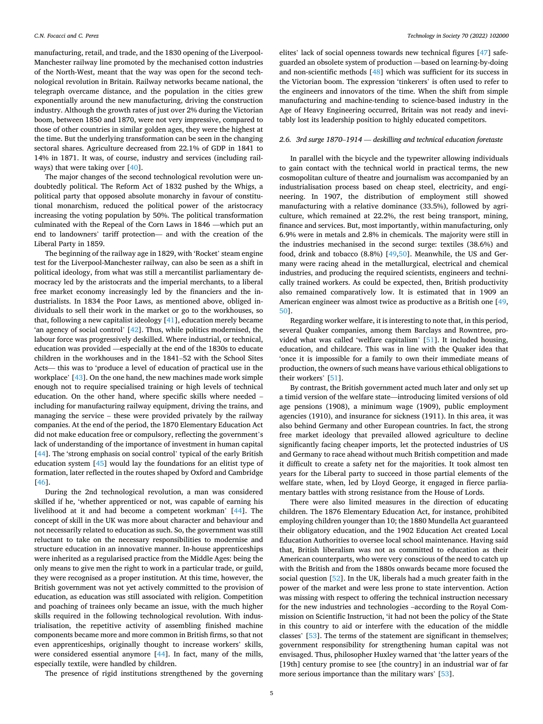manufacturing, retail, and trade, and the 1830 opening of the Liverpool-Manchester railway line promoted by the mechanised cotton industries of the North-West, meant that the way was open for the second technological revolution in Britain. Railway networks became national, the telegraph overcame distance, and the population in the cities grew exponentially around the new manufacturing, driving the construction industry. Although the growth rates of just over 2% during the Victorian boom, between 1850 and 1870, were not very impressive, compared to those of other countries in similar golden ages, they were the highest at the time. But the underlying transformation can be seen in the changing sectoral shares. Agriculture decreased from 22.1% of GDP in 1841 to 14% in 1871. It was, of course, industry and services (including railways) that were taking over [[40\]](#page-11-0).

The major changes of the second technological revolution were undoubtedly political. The Reform Act of 1832 pushed by the Whigs, a political party that opposed absolute monarchy in favour of constitutional monarchism, reduced the political power of the aristocracy increasing the voting population by 50%. The political transformation culminated with the Repeal of the Corn Laws in 1846 —which put an end to landowners' tariff protection— and with the creation of the Liberal Party in 1859.

The beginning of the railway age in 1829, with 'Rocket' steam engine test for the Liverpool-Manchester railway, can also be seen as a shift in political ideology, from what was still a mercantilist parliamentary democracy led by the aristocrats and the imperial merchants, to a liberal free market economy increasingly led by the financiers and the industrialists. In 1834 the Poor Laws, as mentioned above, obliged individuals to sell their work in the market or go to the workhouses, so that, following a new capitalist ideology [[41\]](#page-11-0), education merely became 'an agency of social control' [\[42\]](#page-11-0). Thus, while politics modernised, the labour force was progressively deskilled. Where industrial, or technical, education was provided —especially at the end of the 1830s to educate children in the workhouses and in the 1841–52 with the School Sites Acts— this was to 'produce a level of education of practical use in the workplace' [[43\]](#page-11-0). On the one hand, the new machines made work simple enough not to require specialised training or high levels of technical education. On the other hand, where specific skills where needed – including for manufacturing railway equipment, driving the trains, and managing the service – these were provided privately by the railway companies. At the end of the period, the 1870 Elementary Education Act did not make education free or compulsory, reflecting the government's lack of understanding of the importance of investment in human capital [[44\]](#page-11-0). The 'strong emphasis on social control' typical of the early British education system [\[45](#page-11-0)] would lay the foundations for an elitist type of formation, later reflected in the routes shaped by Oxford and Cambridge [[46\]](#page-11-0).

During the 2nd technological revolution, a man was considered skilled if he, 'whether apprenticed or not, was capable of earning his livelihood at it and had become a competent workman' [[44\]](#page-11-0). The concept of skill in the UK was more about character and behaviour and not necessarily related to education as such. So, the government was still reluctant to take on the necessary responsibilities to modernise and structure education in an innovative manner. In-house apprenticeships were inherited as a regularised practice from the Middle Ages: being the only means to give men the right to work in a particular trade, or guild, they were recognised as a proper institution. At this time, however, the British government was not yet actively committed to the provision of education, as education was still associated with religion. Competition and poaching of trainees only became an issue, with the much higher skills required in the following technological revolution. With industrialisation, the repetitive activity of assembling finished machine components became more and more common in British firms, so that not even apprenticeships, originally thought to increase workers' skills, were considered essential anymore [\[44](#page-11-0)]. In fact, many of the mills, especially textile, were handled by children.

The presence of rigid institutions strengthened by the governing

elites' lack of social openness towards new technical figures [\[47](#page-12-0)] safeguarded an obsolete system of production —based on learning-by-doing and non-scientific methods [\[48](#page-12-0)] which was sufficient for its success in the Victorian boom. The expression 'tinkerers' is often used to refer to the engineers and innovators of the time. When the shift from simple manufacturing and machine-tending to science-based industry in the Age of Heavy Engineering occurred, Britain was not ready and inevitably lost its leadership position to highly educated competitors.

#### *2.6. 3rd surge 1870*–*1914* — *deskilling and technical education foretaste*

In parallel with the bicycle and the typewriter allowing individuals to gain contact with the technical world in practical terms, the new cosmopolitan culture of theatre and journalism was accompanied by an industrialisation process based on cheap steel, electricity, and engineering. In 1907, the distribution of employment still showed manufacturing with a relative dominance (33.5%), followed by agriculture, which remained at 22.2%, the rest being transport, mining, finance and services. But, most importantly, within manufacturing, only 6.9% were in metals and 2.8% in chemicals. The majority were still in the industries mechanised in the second surge: textiles (38.6%) and food, drink and tobacco (8.8%) [\[49](#page-12-0),[50\]](#page-12-0). Meanwhile, the US and Germany were racing ahead in the metallurgical, electrical and chemical industries, and producing the required scientists, engineers and technically trained workers. As could be expected, then, British productivity also remained comparatively low. It is estimated that in 1909 an American engineer was almost twice as productive as a British one [\[49](#page-12-0), [50\]](#page-12-0).

Regarding worker welfare, it is interesting to note that, in this period, several Quaker companies, among them Barclays and Rowntree, provided what was called 'welfare capitalism' [[51\]](#page-12-0). It included housing, education, and childcare. This was in line with the Quaker idea that 'once it is impossible for a family to own their immediate means of production, the owners of such means have various ethical obligations to their workers' [\[51](#page-12-0)].

By contrast, the British government acted much later and only set up a timid version of the welfare state—introducing limited versions of old age pensions (1908), a minimum wage (1909), public employment agencies (1910), and insurance for sickness (1911). In this area, it was also behind Germany and other European countries. In fact, the strong free market ideology that prevailed allowed agriculture to decline significantly facing cheaper imports, let the protected industries of US and Germany to race ahead without much British competition and made it difficult to create a safety net for the majorities. It took almost ten years for the Liberal party to succeed in those partial elements of the welfare state, when, led by Lloyd George, it engaged in fierce parliamentary battles with strong resistance from the House of Lords.

There were also limited measures in the direction of educating children. The 1876 Elementary Education Act, for instance, prohibited employing children younger than 10; the 1880 Mundella Act guaranteed their obligatory education, and the 1902 Education Act created Local Education Authorities to oversee local school maintenance. Having said that, British liberalism was not as committed to education as their American counterparts, who were very conscious of the need to catch up with the British and from the 1880s onwards became more focused the social question [[52\]](#page-12-0). In the UK, liberals had a much greater faith in the power of the market and were less prone to state intervention. Action was missing with respect to offering the technical instruction necessary for the new industries and technologies –according to the Royal Commission on Scientific Instruction, 'it had not been the policy of the State in this country to aid or interfere with the education of the middle classes' [[53\]](#page-12-0). The terms of the statement are significant in themselves; government responsibility for strengthening human capital was not envisaged. Thus, philosopher Huxley warned that 'the latter years of the [19th] century promise to see [the country] in an industrial war of far more serious importance than the military wars' [[53\]](#page-12-0).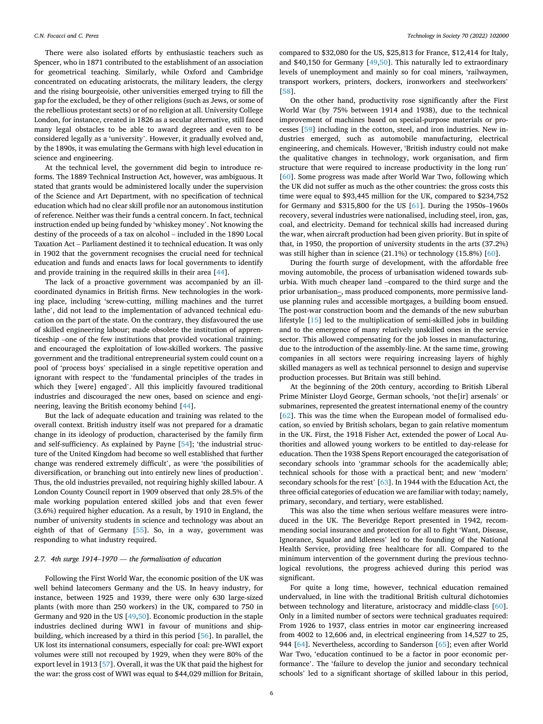There were also isolated efforts by enthusiastic teachers such as Spencer, who in 1871 contributed to the establishment of an association for geometrical teaching. Similarly, while Oxford and Cambridge concentrated on educating aristocrats, the military leaders, the clergy and the rising bourgeoisie, other universities emerged trying to fill the gap for the excluded, be they of other religions (such as Jews, or some of the rebellious protestant sects) or of no religion at all. University College London, for instance, created in 1826 as a secular alternative, still faced many legal obstacles to be able to award degrees and even to be considered legally as a 'university'. However, it gradually evolved and, by the 1890s, it was emulating the Germans with high level education in science and engineering.

At the technical level, the government did begin to introduce reforms. The 1889 Technical Instruction Act, however, was ambiguous. It stated that grants would be administered locally under the supervision of the Science and Art Department, with no specification of technical education which had no clear skill profile nor an autonomous institution of reference. Neither was their funds a central concern. In fact, technical instruction ended up being funded by 'whiskey money'. Not knowing the destiny of the proceeds of a tax on alcohol – included in the 1890 Local Taxation Act – Parliament destined it to technical education. It was only in 1902 that the government recognises the crucial need for technical education and funds and enacts laws for local governments to identify and provide training in the required skills in their area [\[44](#page-11-0)].

The lack of a proactive government was accompanied by an illcoordinated dynamics in British firms. New technologies in the working place, including 'screw-cutting, milling machines and the turret lathe', did not lead to the implementation of advanced technical education on the part of the state. On the contrary, they disfavoured the use of skilled engineering labour; made obsolete the institution of apprenticeship –one of the few institutions that provided vocational training; and encouraged the exploitation of low-skilled workers. The passive government and the traditional entrepreneurial system could count on a pool of 'process boys' specialised in a single repetitive operation and ignorant with respect to the 'fundamental principles of the trades in which they [were] engaged'. All this implicitly favoured traditional industries and discouraged the new ones, based on science and engineering, leaving the British economy behind [\[44](#page-11-0)].

But the lack of adequate education and training was related to the overall context. British industry itself was not prepared for a dramatic change in its ideology of production, characterised by the family firm and self-sufficiency. As explained by Payne [[54\]](#page-12-0); 'the industrial structure of the United Kingdom had become so well established that further change was rendered extremely difficult', as were 'the possibilities of diversification, or branching out into entirely new lines of production'. Thus, the old industries prevailed, not requiring highly skilled labour. A London County Council report in 1909 observed that only 28.5% of the male working population entered skilled jobs and that even fewer (3.6%) required higher education. As a result, by 1910 in England, the number of university students in science and technology was about an eighth of that of Germany [\[55](#page-12-0)]. So, in a way, government was responding to what industry required.

#### *2.7. 4th surge 1914*–*1970* — *the formalisation of education*

Following the First World War, the economic position of the UK was well behind latecomers Germany and the US. In heavy industry, for instance, between 1925 and 1939, there were only 630 large-sized plants (with more than 250 workers) in the UK, compared to 750 in Germany and 920 in the US [\[49](#page-12-0),[50\]](#page-12-0). Economic production in the staple industries declined during WW1 in favour of munitions and shipbuilding, which increased by a third in this period [\[56](#page-12-0)]. In parallel, the UK lost its international consumers, especially for coal: pre-WWI export volumes were still not recouped by 1929, when they were 80% of the export level in 1913 [\[57](#page-12-0)]. Overall, it was the UK that paid the highest for the war: the gross cost of WWI was equal to \$44,029 million for Britain,

compared to \$32,080 for the US, \$25,813 for France, \$12,414 for Italy, and \$40,150 for Germany [\[49](#page-12-0),[50\]](#page-12-0). This naturally led to extraordinary levels of unemployment and mainly so for coal miners, 'railwaymen, transport workers, printers, dockers, ironworkers and steelworkers' [[58\]](#page-12-0).

On the other hand, productivity rose significantly after the First World War (by 75% between 1914 and 1938), due to the technical improvement of machines based on special-purpose materials or processes [[59\]](#page-12-0) including in the cotton, steel, and iron industries. New industries emerged, such as automobile manufacturing, electrical engineering, and chemicals. However, 'British industry could not make the qualitative changes in technology, work organisation, and firm structure that were required to increase productivity in the long run' [[60\]](#page-12-0). Some progress was made after World War Two, following which the UK did not suffer as much as the other countries: the gross costs this time were equal to \$93,445 million for the UK, compared to \$234,752 for Germany and \$315,800 for the US [[61\]](#page-12-0). During the 1950s–1960s recovery, several industries were nationalised, including steel, iron, gas, coal, and electricity. Demand for technical skills had increased during the war, when aircraft production had been given priority. But in spite of that, in 1950, the proportion of university students in the arts (37.2%) was still higher than in science (21.1%) or technology (15.8%) [[60\]](#page-12-0).

During the fourth surge of development, with the affordable free moving automobile, the process of urbanisation widened towards suburbia. With much cheaper land –compared to the third surge and the prior urbanisation–, mass produced components, more permissive landuse planning rules and accessible mortgages, a building boom ensued. The post-war construction boom and the demands of the new suburban lifestyle [[15\]](#page-11-0) led to the multiplication of semi-skilled jobs in building and to the emergence of many relatively unskilled ones in the service sector. This allowed compensating for the job losses in manufacturing, due to the introduction of the assembly-line. At the same time, growing companies in all sectors were requiring increasing layers of highly skilled managers as well as technical personnel to design and supervise production processes. But Britain was still behind.

At the beginning of the 20th century, according to British Liberal Prime Minister Lloyd George, German schools, 'not the[ir] arsenals' or submarines, represented the greatest international enemy of the country [[62\]](#page-12-0). This was the time when the European model of formalised education, so envied by British scholars, began to gain relative momentum in the UK. First, the 1918 Fisher Act, extended the power of Local Authorities and allowed young workers to be entitled to day-release for education. Then the 1938 Spens Report encouraged the categorisation of secondary schools into 'grammar schools for the academically able; technical schools for those with a practical bent; and new 'modern' secondary schools for the rest' [\[63](#page-12-0)]. In 1944 with the Education Act, the three official categories of education we are familiar with today; namely, primary, secondary, and tertiary, were established.

This was also the time when serious welfare measures were introduced in the UK. The Beveridge Report presented in 1942, recommending social insurance and protection for all to fight 'Want, Disease, Ignorance, Squalor and Idleness' led to the founding of the National Health Service, providing free healthcare for all. Compared to the minimum intervention of the government during the previous technological revolutions, the progress achieved during this period was significant.

For quite a long time, however, technical education remained undervalued, in line with the traditional British cultural dichotomies between technology and literature, aristocracy and middle-class [\[60](#page-12-0)]. Only in a limited number of sectors were technical graduates required: From 1926 to 1937, class entries in motor car engineering increased from 4002 to 12,606 and, in electrical engineering from 14,527 to 25, 944 [[64\]](#page-12-0). Nevertheless, according to Sanderson [\[65\]](#page-12-0); even after World War Two, 'education continued to be a factor in poor economic performance'. The 'failure to develop the junior and secondary technical schools' led to a significant shortage of skilled labour in this period,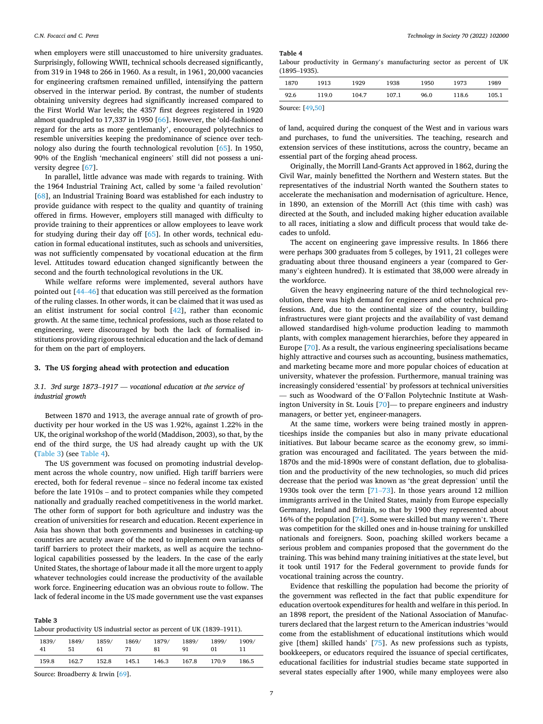<span id="page-6-0"></span>when employers were still unaccustomed to hire university graduates. Surprisingly, following WWII, technical schools decreased significantly, from 319 in 1948 to 266 in 1960. As a result, in 1961, 20,000 vacancies for engineering craftsmen remained unfilled, intensifying the pattern observed in the interwar period. By contrast, the number of students obtaining university degrees had significantly increased compared to the First World War levels; the 4357 first degrees registered in 1920 almost quadrupled to 17,337 in 1950 [\[66](#page-12-0)]. However, the 'old-fashioned regard for the arts as more gentlemanly', encouraged polytechnics to resemble universities keeping the predominance of science over technology also during the fourth technological revolution [[65\]](#page-12-0). In 1950, 90% of the English 'mechanical engineers' still did not possess a university degree [\[67](#page-12-0)].

In parallel, little advance was made with regards to training. With the 1964 Industrial Training Act, called by some 'a failed revolution' [[68\]](#page-12-0), an Industrial Training Board was established for each industry to provide guidance with respect to the quality and quantity of training offered in firms. However, employers still managed with difficulty to provide training to their apprentices or allow employees to leave work for studying during their day off [[65\]](#page-12-0). In other words, technical education in formal educational institutes, such as schools and universities, was not sufficiently compensated by vocational education at the firm level. Attitudes toward education changed significantly between the second and the fourth technological revolutions in the UK.

While welfare reforms were implemented, several authors have pointed out [44–[46\]](#page-11-0) that education was still perceived as the formation of the ruling classes. In other words, it can be claimed that it was used as an elitist instrument for social control [[42\]](#page-11-0), rather than economic growth. At the same time, technical professions, such as those related to engineering, were discouraged by both the lack of formalised institutions providing rigorous technical education and the lack of demand for them on the part of employers.

#### **3. The US forging ahead with protection and education**

## *3.1. 3rd surge 1873*–*1917* — *vocational education at the service of industrial growth*

Between 1870 and 1913, the average annual rate of growth of productivity per hour worked in the US was 1.92%, against 1.22% in the UK, the original workshop of the world (Maddison, 2003), so that, by the end of the third surge, the US had already caught up with the UK (Table 3) (see Table 4).

The US government was focused on promoting industrial development across the whole country, now unified. High tariff barriers were erected, both for federal revenue – since no federal income tax existed before the late 1910s – and to protect companies while they competed nationally and gradually reached competitiveness in the world market. The other form of support for both agriculture and industry was the creation of universities for research and education. Recent experience in Asia has shown that both governments and businesses in catching-up countries are acutely aware of the need to implement own variants of tariff barriers to protect their markets, as well as acquire the technological capabilities possessed by the leaders. In the case of the early United States, the shortage of labour made it all the more urgent to apply whatever technologies could increase the productivity of the available work force. Engineering education was an obvious route to follow. The lack of federal income in the US made government use the vast expanses

| таріс э |                                                                        |
|---------|------------------------------------------------------------------------|
|         | Labour productivity US industrial sector as percent of UK (1839–1911). |

| 1839/ | 1849/ | 1859/ | 1869/ | 1879/ | 1889/ | 1899/ | 1909/ |
|-------|-------|-------|-------|-------|-------|-------|-------|
| 41    | 51    | 61    | 71    | 81    | 91    | 01    | 11    |
| 159.8 | 162.7 | 152.8 | 145.1 | 146.3 | 167.8 | 170.9 | 186.5 |

Source: Broadberry & Irwin [[69](#page-12-0)].

**Table 3** 

**Table 4** 

Labour productivity in Germany's manufacturing sector as percent of UK (1895–1935).

| 1870 | 1913  | 1929  | 1938  | 1950 | 1973  | 1989  |
|------|-------|-------|-------|------|-------|-------|
| 92.6 | 119.0 | 104.7 | 107.1 | 96.0 | 118.6 | 105.1 |

Source: [\[49,50](#page-12-0)]

of land, acquired during the conquest of the West and in various wars and purchases, to fund the universities. The teaching, research and extension services of these institutions, across the country, became an essential part of the forging ahead process.

Originally, the Morrill Land-Grants Act approved in 1862, during the Civil War, mainly benefitted the Northern and Western states. But the representatives of the industrial North wanted the Southern states to accelerate the mechanisation and modernisation of agriculture. Hence, in 1890, an extension of the Morrill Act (this time with cash) was directed at the South, and included making higher education available to all races, initiating a slow and difficult process that would take decades to unfold.

The accent on engineering gave impressive results. In 1866 there were perhaps 300 graduates from 5 colleges, by 1911, 21 colleges were graduating about three thousand engineers a year (compared to Germany's eighteen hundred). It is estimated that 38,000 were already in the workforce.

Given the heavy engineering nature of the third technological revolution, there was high demand for engineers and other technical professions. And, due to the continental size of the country, building infrastructures were giant projects and the availability of vast demand allowed standardised high-volume production leading to mammoth plants, with complex management hierarchies, before they appeared in Europe [[70\]](#page-12-0). As a result, the various engineering specialisations became highly attractive and courses such as accounting, business mathematics, and marketing became more and more popular choices of education at university, whatever the profession. Furthermore, manual training was increasingly considered 'essential' by professors at technical universities — such as Woodward of the O'Fallon Polytechnic Institute at Washington University in St. Louis [[70\]](#page-12-0)— to prepare engineers and industry managers, or better yet, engineer-managers.

At the same time, workers were being trained mostly in apprenticeships inside the companies but also in many private educational initiatives. But labour became scarce as the economy grew, so immigration was encouraged and facilitated. The years between the mid-1870s and the mid-1890s were of constant deflation, due to globalisation and the productivity of the new technologies, so much did prices decrease that the period was known as 'the great depression' until the 1930s took over the term [71–[73\]](#page-12-0). In those years around 12 million immigrants arrived in the United States, mainly from Europe especially Germany, Ireland and Britain, so that by 1900 they represented about 16% of the population [[74\]](#page-12-0). Some were skilled but many weren't. There was competition for the skilled ones and in-house training for unskilled nationals and foreigners. Soon, poaching skilled workers became a serious problem and companies proposed that the government do the training. This was behind many training initiatives at the state level, but it took until 1917 for the Federal government to provide funds for vocational training across the country.

Evidence that reskilling the population had become the priority of the government was reflected in the fact that public expenditure for education overtook expenditures for health and welfare in this period. In an 1898 report, the president of the National Association of Manufacturers declared that the largest return to the American industries 'would come from the establishment of educational institutions which would give [them] skilled hands' [\[75](#page-12-0)]. As new professions such as typists, bookkeepers, or educators required the issuance of special certificates, educational facilities for industrial studies became state supported in several states especially after 1900, while many employees were also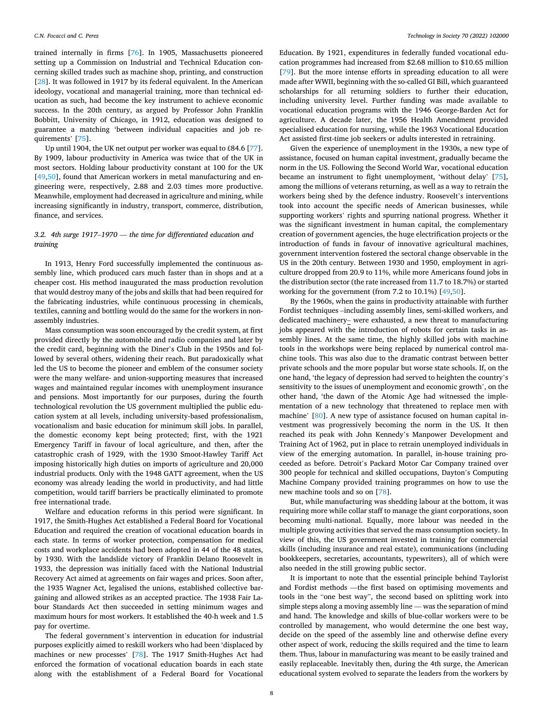trained internally in firms [[76\]](#page-12-0). In 1905, Massachusetts pioneered setting up a Commission on Industrial and Technical Education concerning skilled trades such as machine shop, printing, and construction [[28\]](#page-11-0). It was followed in 1917 by its federal equivalent. In the American ideology, vocational and managerial training, more than technical education as such, had become the key instrument to achieve economic success. In the 20th century, as argued by Professor John Franklin Bobbitt, University of Chicago, in 1912, education was designed to guarantee a matching 'between individual capacities and job requirements' [\[75](#page-12-0)].

Up until 1904, the UK net output per worker was equal to £84.6 [\[77](#page-12-0)]. By 1909, labour productivity in America was twice that of the UK in most sectors. Holding labour productivity constant at 100 for the UK [[49,50](#page-12-0)], found that American workers in metal manufacturing and engineering were, respectively, 2.88 and 2.03 times more productive. Meanwhile, employment had decreased in agriculture and mining, while increasing significantly in industry, transport, commerce, distribution, finance, and services.

## *3.2. 4th surge 1917*–*1970* — *the time for differentiated education and training*

In 1913, Henry Ford successfully implemented the continuous assembly line, which produced cars much faster than in shops and at a cheaper cost. His method inaugurated the mass production revolution that would destroy many of the jobs and skills that had been required for the fabricating industries, while continuous processing in chemicals, textiles, canning and bottling would do the same for the workers in nonassembly industries.

Mass consumption was soon encouraged by the credit system, at first provided directly by the automobile and radio companies and later by the credit card, beginning with the Diner's Club in the 1950s and followed by several others, widening their reach. But paradoxically what led the US to become the pioneer and emblem of the consumer society were the many welfare- and union-supporting measures that increased wages and maintained regular incomes with unemployment insurance and pensions. Most importantly for our purposes, during the fourth technological revolution the US government multiplied the public education system at all levels, including university-based professionalism, vocationalism and basic education for minimum skill jobs. In parallel, the domestic economy kept being protected; first, with the 1921 Emergency Tariff in favour of local agriculture, and then, after the catastrophic crash of 1929, with the 1930 Smoot-Hawley Tariff Act imposing historically high duties on imports of agriculture and 20,000 industrial products. Only with the 1948 GATT agreement, when the US economy was already leading the world in productivity, and had little competition, would tariff barriers be practically eliminated to promote free international trade.

Welfare and education reforms in this period were significant. In 1917, the Smith-Hughes Act established a Federal Board for Vocational Education and required the creation of vocational education boards in each state. In terms of worker protection, compensation for medical costs and workplace accidents had been adopted in 44 of the 48 states, by 1930. With the landslide victory of Franklin Delano Roosevelt in 1933, the depression was initially faced with the National Industrial Recovery Act aimed at agreements on fair wages and prices. Soon after, the 1935 Wagner Act, legalised the unions, established collective bargaining and allowed strikes as an accepted practice. The 1938 Fair Labour Standards Act then succeeded in setting minimum wages and maximum hours for most workers. It established the 40-h week and 1.5 pay for overtime.

The federal government's intervention in education for industrial purposes explicitly aimed to reskill workers who had been 'displaced by machines or new processes' [\[78](#page-12-0)]. The 1917 Smith-Hughes Act had enforced the formation of vocational education boards in each state along with the establishment of a Federal Board for Vocational

Education. By 1921, expenditures in federally funded vocational education programmes had increased from \$2.68 million to \$10.65 million [[79\]](#page-12-0). But the more intense efforts in spreading education to all were made after WWII, beginning with the so-called GI Bill, which guaranteed scholarships for all returning soldiers to further their education, including university level. Further funding was made available to vocational education programs with the 1946 George-Barden Act for agriculture. A decade later, the 1956 Health Amendment provided specialised education for nursing, while the 1963 Vocational Education Act assisted first-time job seekers or adults interested in retraining.

Given the experience of unemployment in the 1930s, a new type of assistance, focused on human capital investment, gradually became the norm in the US. Following the Second World War, vocational education became an instrument to fight unemployment, 'without delay' [\[75](#page-12-0)], among the millions of veterans returning, as well as a way to retrain the workers being shed by the defence industry. Roosevelt's interventions took into account the specific needs of American businesses, while supporting workers' rights and spurring national progress. Whether it was the significant investment in human capital, the complementary creation of government agencies, the huge electrification projects or the introduction of funds in favour of innovative agricultural machines, government intervention fostered the sectoral change observable in the US in the 20th century. Between 1930 and 1950, employment in agriculture dropped from 20.9 to 11%, while more Americans found jobs in the distribution sector (the rate increased from 11.7 to 18.7%) or started working for the government (from 7.2 to 10.1%) [\[49,50](#page-12-0)].

By the 1960s, when the gains in productivity attainable with further Fordist techniques –including assembly lines, semi-skilled workers, and dedicated machinery– were exhausted, a new threat to manufacturing jobs appeared with the introduction of robots for certain tasks in assembly lines. At the same time, the highly skilled jobs with machine tools in the workshops were being replaced by numerical control machine tools. This was also due to the dramatic contrast between better private schools and the more popular but worse state schools. If, on the one hand, 'the legacy of depression had served to heighten the country's sensitivity to the issues of unemployment and economic growth', on the other hand, 'the dawn of the Atomic Age had witnessed the implementation of a new technology that threatened to replace men with machine' [\[80](#page-12-0)]. A new type of assistance focused on human capital investment was progressively becoming the norm in the US. It then reached its peak with John Kennedy's Manpower Development and Training Act of 1962, put in place to retrain unemployed individuals in view of the emerging automation. In parallel, in-house training proceeded as before. Detroit's Packard Motor Car Company trained over 300 people for technical and skilled occupations, Dayton's Computing Machine Company provided training programmes on how to use the new machine tools and so on [\[78](#page-12-0)].

But, while manufacturing was shedding labour at the bottom, it was requiring more while collar staff to manage the giant corporations, soon becoming multi-national. Equally, more labour was needed in the multiple growing activities that served the mass consumption society. In view of this, the US government invested in training for commercial skills (including insurance and real estate), communications (including bookkeepers, secretaries, accountants, typewriters), all of which were also needed in the still growing public sector.

It is important to note that the essential principle behind Taylorist and Fordist methods —the first based on optimising movements and tools in the "one best way", the second based on splitting work into simple steps along a moving assembly line — was the separation of mind and hand. The knowledge and skills of blue-collar workers were to be controlled by management, who would determine the one best way, decide on the speed of the assembly line and otherwise define every other aspect of work, reducing the skills required and the time to learn them. Thus, labour in manufacturing was meant to be easily trained and easily replaceable. Inevitably then, during the 4th surge, the American educational system evolved to separate the leaders from the workers by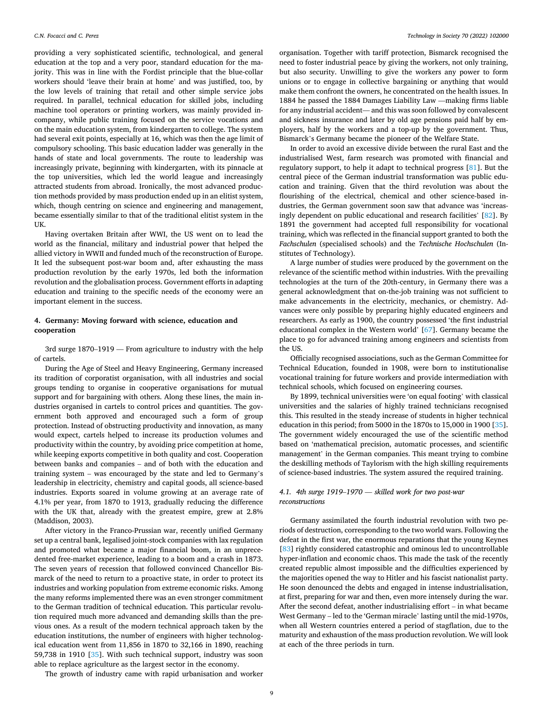providing a very sophisticated scientific, technological, and general education at the top and a very poor, standard education for the majority. This was in line with the Fordist principle that the blue-collar workers should 'leave their brain at home' and was justified, too, by the low levels of training that retail and other simple service jobs required. In parallel, technical education for skilled jobs, including machine tool operators or printing workers, was mainly provided incompany, while public training focused on the service vocations and on the main education system, from kindergarten to college. The system had several exit points, especially at 16, which was then the age limit of compulsory schooling. This basic education ladder was generally in the hands of state and local governments. The route to leadership was increasingly private, beginning with kindergarten, with its pinnacle at the top universities, which led the world league and increasingly attracted students from abroad. Ironically, the most advanced production methods provided by mass production ended up in an elitist system, which, though centring on science and engineering and management, became essentially similar to that of the traditional elitist system in the UK.

Having overtaken Britain after WWI, the US went on to lead the world as the financial, military and industrial power that helped the allied victory in WWII and funded much of the reconstruction of Europe. It led the subsequent post-war boom and, after exhausting the mass production revolution by the early 1970s, led both the information revolution and the globalisation process. Government efforts in adapting education and training to the specific needs of the economy were an important element in the success.

### **4. Germany: Moving forward with science, education and cooperation**

3rd surge 1870–1919 — From agriculture to industry with the help of cartels.

During the Age of Steel and Heavy Engineering, Germany increased its tradition of corporatist organisation, with all industries and social groups tending to organise in cooperative organisations for mutual support and for bargaining with others. Along these lines, the main industries organised in cartels to control prices and quantities. The government both approved and encouraged such a form of group protection. Instead of obstructing productivity and innovation, as many would expect, cartels helped to increase its production volumes and productivity within the country, by avoiding price competition at home, while keeping exports competitive in both quality and cost. Cooperation between banks and companies – and of both with the education and training system – was encouraged by the state and led to Germany's leadership in electricity, chemistry and capital goods, all science-based industries. Exports soared in volume growing at an average rate of 4.1% per year, from 1870 to 1913, gradually reducing the difference with the UK that, already with the greatest empire, grew at 2.8% (Maddison, 2003).

After victory in the Franco-Prussian war, recently unified Germany set up a central bank, legalised joint-stock companies with lax regulation and promoted what became a major financial boom, in an unprecedented free-market experience, leading to a boom and a crash in 1873. The seven years of recession that followed convinced Chancellor Bismarck of the need to return to a proactive state, in order to protect its industries and working population from extreme economic risks. Among the many reforms implemented there was an even stronger commitment to the German tradition of technical education. This particular revolution required much more advanced and demanding skills than the previous ones. As a result of the modern technical approach taken by the education institutions, the number of engineers with higher technological education went from 11,856 in 1870 to 32,166 in 1890, reaching 59,738 in 1910 [[35\]](#page-11-0). With such technical support, industry was soon able to replace agriculture as the largest sector in the economy.

The growth of industry came with rapid urbanisation and worker

organisation. Together with tariff protection, Bismarck recognised the need to foster industrial peace by giving the workers, not only training, but also security. Unwilling to give the workers any power to form unions or to engage in collective bargaining or anything that would make them confront the owners, he concentrated on the health issues. In 1884 he passed the 1884 Damages Liability Law —making firms liable for any industrial accident— and this was soon followed by convalescent and sickness insurance and later by old age pensions paid half by employers, half by the workers and a top-up by the government. Thus, Bismarck's Germany became the pioneer of the Welfare State.

In order to avoid an excessive divide between the rural East and the industrialised West, farm research was promoted with financial and regulatory support, to help it adapt to technical progress [[81\]](#page-12-0). But the central piece of the German industrial transformation was public education and training. Given that the third revolution was about the flourishing of the electrical, chemical and other science-based industries, the German government soon saw that advance was 'increasingly dependent on public educational and research facilities' [[82\]](#page-12-0). By 1891 the government had accepted full responsibility for vocational training, which was reflected in the financial support granted to both the *Fachschulen* (specialised schools) and the *Technische Hochschulen* (Institutes of Technology).

A large number of studies were produced by the government on the relevance of the scientific method within industries. With the prevailing technologies at the turn of the 20th-century, in Germany there was a general acknowledgment that on-the-job training was not sufficient to make advancements in the electricity, mechanics, or chemistry. Advances were only possible by preparing highly educated engineers and researchers. As early as 1900, the country possessed 'the first industrial educational complex in the Western world' [[67\]](#page-12-0). Germany became the place to go for advanced training among engineers and scientists from the US.

Officially recognised associations, such as the German Committee for Technical Education, founded in 1908, were born to institutionalise vocational training for future workers and provide intermediation with technical schools, which focused on engineering courses.

By 1899, technical universities were 'on equal footing' with classical universities and the salaries of highly trained technicians recognised this. This resulted in the steady increase of students in higher technical education in this period; from 5000 in the 1870s to 15,000 in 1900 [\[35](#page-11-0)]. The government widely encouraged the use of the scientific method based on 'mathematical precision, automatic processes, and scientific management' in the German companies. This meant trying to combine the deskilling methods of Taylorism with the high skilling requirements of science-based industries. The system assured the required training.

## *4.1. 4th surge 1919*–*1970* — *skilled work for two post-war reconstructions*

Germany assimilated the fourth industrial revolution with two periods of destruction, corresponding to the two world wars. Following the defeat in the first war, the enormous reparations that the young Keynes [[83\]](#page-12-0) rightly considered catastrophic and ominous led to uncontrollable hyper-inflation and economic chaos. This made the task of the recently created republic almost impossible and the difficulties experienced by the majorities opened the way to Hitler and his fascist nationalist party. He soon denounced the debts and engaged in intense industrialisation, at first, preparing for war and then, even more intensely during the war. After the second defeat, another industrialising effort – in what became West Germany – led to the 'German miracle' lasting until the mid-1970s, when all Western countries entered a period of stagflation, due to the maturity and exhaustion of the mass production revolution. We will look at each of the three periods in turn.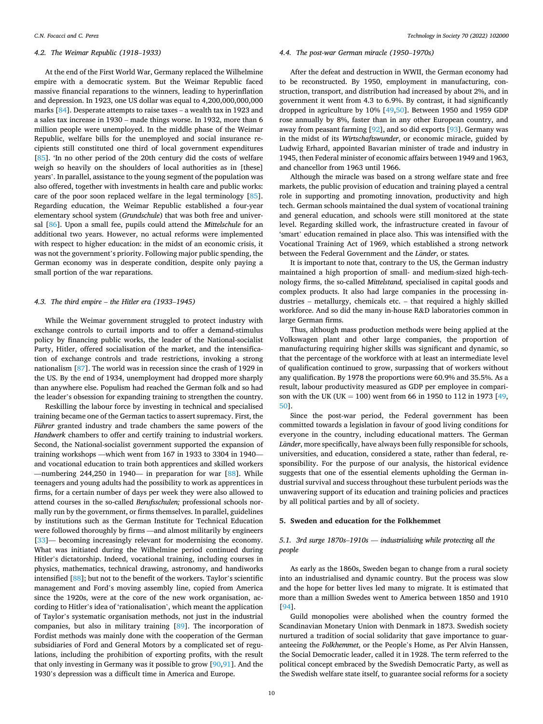## *4.2. The Weimar Republic (1918*–*1933)*

At the end of the First World War, Germany replaced the Wilhelmine empire with a democratic system. But the Weimar Republic faced massive financial reparations to the winners, leading to hyperinflation and depression. In 1923, one US dollar was equal to 4,200,000,000,000 marks [\[84](#page-12-0)]. Desperate attempts to raise taxes – a wealth tax in 1923 and a sales tax increase in 1930 – made things worse. In 1932, more than 6 million people were unemployed. In the middle phase of the Weimar Republic, welfare bills for the unemployed and social insurance recipients still constituted one third of local government expenditures [[85\]](#page-12-0). 'In no other period of the 20th century did the costs of welfare weigh so heavily on the shoulders of local authorities as in [these] years'. In parallel, assistance to the young segment of the population was also offered, together with investments in health care and public works: care of the poor soon replaced welfare in the legal terminology [\[85](#page-12-0)]. Regarding education, the Weimar Republic established a four-year elementary school system (*Grundschule*) that was both free and universal [[86\]](#page-12-0). Upon a small fee, pupils could attend the *Mittelschule* for an additional two years. However, no actual reforms were implemented with respect to higher education: in the midst of an economic crisis, it was not the government's priority. Following major public spending, the German economy was in desperate condition, despite only paying a small portion of the war reparations.

## *4.3. The third empire* – *the Hitler era (1933*–*1945)*

While the Weimar government struggled to protect industry with exchange controls to curtail imports and to offer a demand-stimulus policy by financing public works, the leader of the National-socialist Party, Hitler, offered socialisation of the market, and the intensification of exchange controls and trade restrictions, invoking a strong nationalism [\[87](#page-12-0)]. The world was in recession since the crash of 1929 in the US. By the end of 1934, unemployment had dropped more sharply than anywhere else. Populism had reached the German folk and so had the leader's obsession for expanding training to strengthen the country.

Reskilling the labour force by investing in technical and specialised training became one of the German tactics to assert supremacy. First, the *Führer* granted industry and trade chambers the same powers of the *Handwerk* chambers to offer and certify training to industrial workers. Second, the National-socialist government supported the expansion of training workshops —which went from 167 in 1933 to 3304 in 1940 and vocational education to train both apprentices and skilled workers —numbering 244,250 in 1940— in preparation for war  $[88]$  $[88]$ . While teenagers and young adults had the possibility to work as apprentices in firms, for a certain number of days per week they were also allowed to attend courses in the so-called *Berufsschulen;* professional schools normally run by the government, or firms themselves. In parallel, guidelines by institutions such as the German Institute for Technical Education were followed thoroughly by firms —and almost militarily by engineers [[33\]](#page-11-0)— becoming increasingly relevant for modernising the economy. What was initiated during the Wilhelmine period continued during Hitler's dictatorship. Indeed, vocational training, including courses in physics, mathematics, technical drawing, astronomy, and handiworks intensified [\[88\]](#page-12-0); but not to the benefit of the workers. Taylor's scientific management and Ford's moving assembly line, copied from America since the 1920s, were at the core of the new work organisation, according to Hitler's idea of 'rationalisation', which meant the application of Taylor's systematic organisation methods, not just in the industrial companies, but also in military training [[89\]](#page-12-0). The incorporation of Fordist methods was mainly done with the cooperation of the German subsidiaries of Ford and General Motors by a complicated set of regulations, including the prohibition of exporting profits, with the result that only investing in Germany was it possible to grow [\[90](#page-12-0),[91\]](#page-12-0). And the 1930's depression was a difficult time in America and Europe.

#### *4.4. The post-war German miracle (1950*–*1970s)*

After the defeat and destruction in WWII, the German economy had to be reconstructed. By 1950, employment in manufacturing, construction, transport, and distribution had increased by about 2%, and in government it went from 4.3 to 6.9%. By contrast, it had significantly dropped in agriculture by 10% [\[49,50](#page-12-0)]. Between 1950 and 1959 GDP rose annually by 8%, faster than in any other European country, and away from peasant farming [[92\]](#page-12-0), and so did exports [[93](#page-12-0)]. Germany was in the midst of its *Wirtschaftswunder*, or economic miracle, guided by Ludwig Erhard, appointed Bavarian minister of trade and industry in 1945, then Federal minister of economic affairs between 1949 and 1963, and chancellor from 1963 until 1966.

Although the miracle was based on a strong welfare state and free markets, the public provision of education and training played a central role in supporting and promoting innovation, productivity and high tech. German schools maintained the dual system of vocational training and general education, and schools were still monitored at the state level. Regarding skilled work, the infrastructure created in favour of 'smart' education remained in place also. This was intensified with the Vocational Training Act of 1969, which established a strong network between the Federal Government and the *Länder*, or states.

It is important to note that, contrary to the US, the German industry maintained a high proportion of small- and medium-sized high-technology firms, the so-called *Mittelstand,* specialised in capital goods and complex products. It also had large companies in the processing industries – metallurgy, chemicals etc. – that required a highly skilled workforce. And so did the many in-house R&D laboratories common in large German firms.

Thus, although mass production methods were being applied at the Volkswagen plant and other large companies, the proportion of manufacturing requiring higher skills was significant and dynamic, so that the percentage of the workforce with at least an intermediate level of qualification continued to grow, surpassing that of workers without any qualification. By 1978 the proportions were 60.9% and 35.5%. As a result, labour productivity measured as GDP per employee in compari-son with the UK (UK = 100) went from 66 in 1950 to 112 in 1973 [\[49](#page-12-0), [50\]](#page-12-0).

Since the post-war period, the Federal government has been committed towards a legislation in favour of good living conditions for everyone in the country, including educational matters. The German *Länder*, more specifically, have always been fully responsible for schools, universities, and education, considered a state, rather than federal, responsibility. For the purpose of our analysis, the historical evidence suggests that one of the essential elements upholding the German industrial survival and success throughout these turbulent periods was the unwavering support of its education and training policies and practices by all political parties and by all of society.

## **5. Sweden and education for the Folkhemmet**

## *5.1. 3rd surge 1870s*–*1910s* — *industrialising while protecting all the people*

As early as the 1860s, Sweden began to change from a rural society into an industrialised and dynamic country. But the process was slow and the hope for better lives led many to migrate. It is estimated that more than a million Swedes went to America between 1850 and 1910 [[94\]](#page-12-0).

Guild monopolies were abolished when the country formed the Scandinavian Monetary Union with Denmark in 1873. Swedish society nurtured a tradition of social solidarity that gave importance to guaranteeing the *Folkhemmet*, or the People's Home, as Per Alvin Hanssen, the Social Democratic leader, called it in 1928. The term referred to the political concept embraced by the Swedish Democratic Party, as well as the Swedish welfare state itself, to guarantee social reforms for a society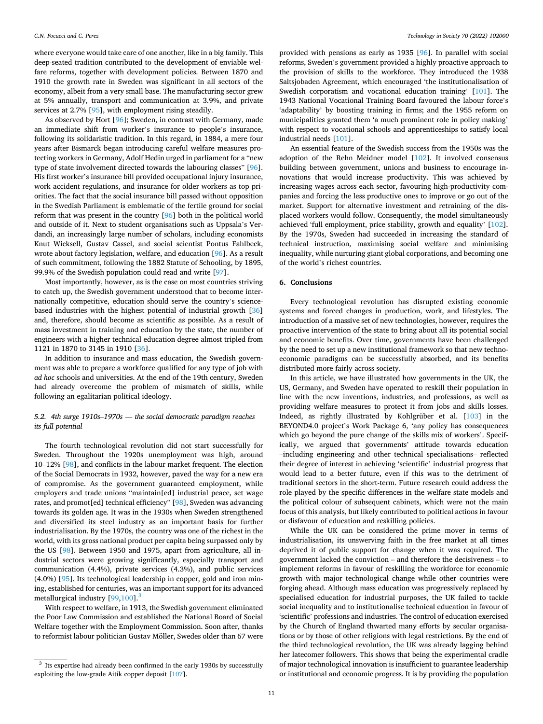<span id="page-10-0"></span>where everyone would take care of one another, like in a big family. This deep-seated tradition contributed to the development of enviable welfare reforms, together with development policies. Between 1870 and 1910 the growth rate in Sweden was significant in all sectors of the economy, albeit from a very small base. The manufacturing sector grew at 5% annually, transport and communication at 3.9%, and private services at 2.7% [[95\]](#page-12-0), with employment rising steadily.

As observed by Hort [[96\]](#page-12-0); Sweden, in contrast with Germany, made an immediate shift from worker's insurance to people's insurance, following its solidaristic tradition. In this regard, in 1884, a mere four years after Bismarck began introducing careful welfare measures protecting workers in Germany, Adolf Hedin urged in parliament for a "new type of state involvement directed towards the labouring classes" [\[96](#page-12-0)]. His first worker's insurance bill provided occupational injury insurance, work accident regulations, and insurance for older workers as top priorities. The fact that the social insurance bill passed without opposition in the Swedish Parliament is emblematic of the fertile ground for social reform that was present in the country [[96\]](#page-12-0) both in the political world and outside of it. Next to student organisations such as Uppsala's Verdandi, an increasingly large number of scholars, including economists Knut Wicksell, Gustav Cassel, and social scientist Pontus Fahlbeck, wrote about factory legislation, welfare, and education [\[96](#page-12-0)]. As a result of such commitment, following the 1882 Statute of Schooling, by 1895, 99.9% of the Swedish population could read and write [[97\]](#page-12-0).

Most importantly, however, as is the case on most countries striving to catch up, the Swedish government understood that to become internationally competitive, education should serve the country's sciencebased industries with the highest potential of industrial growth [\[36](#page-11-0)] and, therefore, should become as scientific as possible. As a result of mass investment in training and education by the state, the number of engineers with a higher technical education degree almost tripled from 1121 in 1870 to 3145 in 1910 [\[36](#page-11-0)].

In addition to insurance and mass education, the Swedish government was able to prepare a workforce qualified for any type of job with *ad hoc* schools and universities. At the end of the 19th century, Sweden had already overcome the problem of mismatch of skills, while following an egalitarian political ideology.

## *5.2. 4th surge 1910s*–*1970s* — *the social democratic paradigm reaches its full potential*

The fourth technological revolution did not start successfully for Sweden. Throughout the 1920s unemployment was high, around 10–12% [\[98](#page-12-0)], and conflicts in the labour market frequent. The election of the Social Democrats in 1932, however, paved the way for a new era of compromise. As the government guaranteed employment, while employers and trade unions "maintain[ed] industrial peace, set wage rates, and promot[ed] technical efficiency" [\[98](#page-12-0)], Sweden was advancing towards its golden age. It was in the 1930s when Sweden strengthened and diversified its steel industry as an important basis for further industrialisation. By the 1970s, the country was one of the richest in the world, with its gross national product per capita being surpassed only by the US [[98\]](#page-12-0). Between 1950 and 1975, apart from agriculture, all industrial sectors were growing significantly, especially transport and communication (4.4%), private services (4.3%), and public services (4.0%) [[95](#page-12-0)]. Its technological leadership in copper, gold and iron mining, established for centuries, was an important support for its advanced metallurgical industry  $[99,100]$  $[99,100]$ .

With respect to welfare, in 1913, the Swedish government eliminated the Poor Law Commission and established the National Board of Social Welfare together with the Employment Commission. Soon after, thanks to reformist labour politician Gustav Möller, Swedes older than 67 were

provided with pensions as early as 1935 [\[96](#page-12-0)]. In parallel with social reforms, Sweden's government provided a highly proactive approach to the provision of skills to the workforce. They introduced the 1938 Saltsjobaden Agreement, which encouraged 'the institutionalisation of Swedish corporatism and vocational education training' [\[101\]](#page-12-0). The 1943 National Vocational Training Board favoured the labour force's 'adaptability' by boosting training in firms; and the 1955 reform on municipalities granted them 'a much prominent role in policy making' with respect to vocational schools and apprenticeships to satisfy local industrial needs [[101\]](#page-12-0).

An essential feature of the Swedish success from the 1950s was the adoption of the Rehn Meidner model [[102](#page-12-0)]. It involved consensus building between government, unions and business to encourage innovations that would increase productivity. This was achieved by increasing wages across each sector, favouring high-productivity companies and forcing the less productive ones to improve or go out of the market. Support for alternative investment and retraining of the displaced workers would follow. Consequently, the model simultaneously achieved 'full employment, price stability, growth and equality' [[102](#page-12-0)]. By the 1970s, Sweden had succeeded in increasing the standard of technical instruction, maximising social welfare and minimising inequality, while nurturing giant global corporations, and becoming one of the world's richest countries.

#### **6. Conclusions**

Every technological revolution has disrupted existing economic systems and forced changes in production, work, and lifestyles. The introduction of a massive set of new technologies, however, requires the proactive intervention of the state to bring about all its potential social and economic benefits. Over time, governments have been challenged by the need to set up a new institutional framework so that new technoeconomic paradigms can be successfully absorbed, and its benefits distributed more fairly across society.

In this article, we have illustrated how governments in the UK, the US, Germany, and Sweden have operated to reskill their population in line with the new inventions, industries, and professions, as well as providing welfare measures to protect it from jobs and skills losses. Indeed, as rightly illustrated by Kohlgrüber et al. [\[103\]](#page-12-0) in the BEYOND4.0 project's Work Package 6, 'any policy has consequences which go beyond the pure change of the skills mix of workers'. Specifically, we argued that governments' attitude towards education –including engineering and other technical specialisations– reflected their degree of interest in achieving 'scientific' industrial progress that would lead to a better future, even if this was to the detriment of traditional sectors in the short-term. Future research could address the role played by the specific differences in the welfare state models and the political colour of subsequent cabinets, which were not the main focus of this analysis, but likely contributed to political actions in favour or disfavour of education and reskilling policies.

While the UK can be considered the prime mover in terms of industrialisation, its unswerving faith in the free market at all times deprived it of public support for change when it was required. The government lacked the conviction – and therefore the decisiveness – to implement reforms in favour of reskilling the workforce for economic growth with major technological change while other countries were forging ahead. Although mass education was progressively replaced by specialised education for industrial purposes, the UK failed to tackle social inequality and to institutionalise technical education in favour of 'scientific' professions and industries. The control of education exercised by the Church of England thwarted many efforts by secular organisations or by those of other religions with legal restrictions. By the end of the third technological revolution, the UK was already lagging behind her latecomer followers. This shows that being the experimental cradle of major technological innovation is insufficient to guarantee leadership or institutional and economic progress. It is by providing the population

 $^3\,$  Its expertise had already been confirmed in the early 1930s by successfully exploiting the low-grade Aitik copper deposit [[107\]](#page-12-0).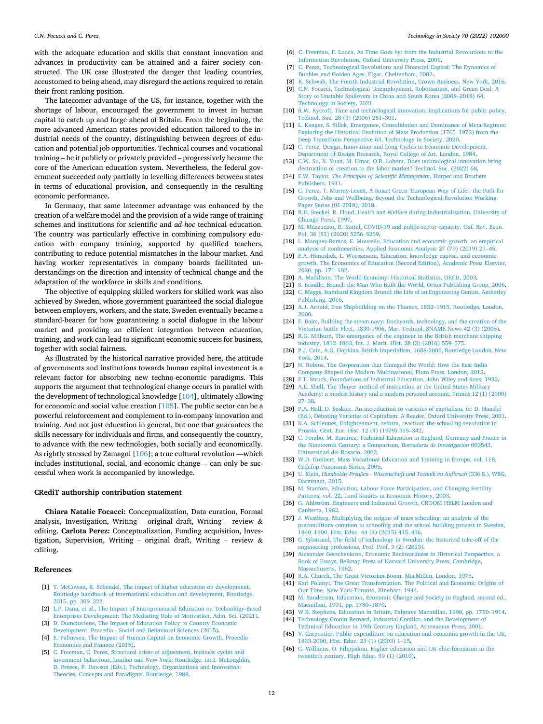<span id="page-11-0"></span>with the adequate education and skills that constant innovation and advances in productivity can be attained and a fairer society constructed. The UK case illustrated the danger that leading countries, accustomed to being ahead, may disregard the actions required to retain their front ranking position.

The latecomer advantage of the US, for instance, together with the shortage of labour, encouraged the government to invest in human capital to catch up and forge ahead of Britain. From the beginning, the more advanced American states provided education tailored to the industrial needs of the country, distinguishing between degrees of education and potential job opportunities. Technical courses and vocational training – be it publicly or privately provided – progressively became the core of the American education system. Nevertheless, the federal government succeeded only partially in levelling differences between states in terms of educational provision, and consequently in the resulting economic performance.

In Germany, that same latecomer advantage was enhanced by the creation of a welfare model and the provision of a wide range of training schemes and institutions for scientific and *ad hoc* technical education. The country was particularly effective in combining compulsory education with company training, supported by qualified teachers, contributing to reduce potential mismatches in the labour market. And having worker representatives in company boards facilitated understandings on the direction and intensity of technical change and the adaptation of the workforce in skills and conditions.

The objective of equipping skilled workers for skilled work was also achieved by Sweden, whose government guaranteed the social dialogue between employers, workers, and the state. Sweden eventually became a standard-bearer for how guaranteeing a social dialogue in the labour market and providing an efficient integration between education, training, and work can lead to significant economic success for business, together with social fairness.

As illustrated by the historical narrative provided here, the attitude of governments and institutions towards human capital investment is a relevant factor for absorbing new techno-economic paradigms. This supports the argument that technological change occurs in parallel with the development of technological knowledge [\[104\]](#page-12-0), ultimately allowing for economic and social value creation [\[105\]](#page-12-0). The public sector can be a powerful reinforcement and complement to in-company innovation and training. And not just education in general, but one that guarantees the skills necessary for individuals and firms, and consequently the country, to advance with the new technologies, both socially and economically. As rightly stressed by Zamagni [[106](#page-12-0)]; a true cultural revolution —which includes institutional, social, and economic change— can only be successful when work is accompanied by knowledge.

#### **CRediT authorship contribution statement**

**Chiara Natalie Focacci:** Conceptualization, Data curation, Formal analysis, Investigation, Writing – original draft, Writing – review  $\&$ editing. **Carlota Perez:** Conceptualization, Funding acquisition, Investigation, Supervision, Writing - original draft, Writing - review  $\&$ editing.

#### **References**

- [1] T. McCowan, R. Schendel, The impact of higher education on development. [Routledge handbook of international education and development, Routledge,](http://refhub.elsevier.com/S0160-791X(22)00141-5/optQRaPVCMvoG)  [2015, pp. 309](http://refhub.elsevier.com/S0160-791X(22)00141-5/optQRaPVCMvoG)–322.
- [2] [L.P. Dana, et al., The Impact of Entrepreneurial Education on Technology-Based](http://refhub.elsevier.com/S0160-791X(22)00141-5/optd67wBI7ll4)  [Enterprises Development: The Mediating Role of Motivation, Adm. Sci. \(2021\)](http://refhub.elsevier.com/S0160-791X(22)00141-5/optd67wBI7ll4).
- [3] [D. Dumciuviene, The Impact of Education Policy to Country Economic](http://refhub.elsevier.com/S0160-791X(22)00141-5/optXu1saaw6bC) [Development, Procedia - Social and Behavioral Sciences \(2015\)](http://refhub.elsevier.com/S0160-791X(22)00141-5/optXu1saaw6bC).
- [4] [E. Palinescu, The Impact of Human Capital on Economic Growth, Procedia](http://refhub.elsevier.com/S0160-791X(22)00141-5/optWhLLX15mcM) [Economics and Finance \(2015\).](http://refhub.elsevier.com/S0160-791X(22)00141-5/optWhLLX15mcM)
- [5] [C. Freeman, C. Perez, Structural crises of adjustment, business cycles and](http://refhub.elsevier.com/S0160-791X(22)00141-5/sref75)  [investment behaviour, London and New York: Routledge, in: I. McLoughlin,](http://refhub.elsevier.com/S0160-791X(22)00141-5/sref75) [D. Preece, P. Dawson \(Eds.\), Technology, Organizations and Innovation:](http://refhub.elsevier.com/S0160-791X(22)00141-5/sref75)  [Theories, Concepts and Paradigms, Routledge, 1988.](http://refhub.elsevier.com/S0160-791X(22)00141-5/sref75)
- [6] [C. Freeman, F. Louca, As Time Goes by: from the Industrial Revolutions to the](http://refhub.elsevier.com/S0160-791X(22)00141-5/sref1)  [Information Revolution, Oxford University Press, 2001](http://refhub.elsevier.com/S0160-791X(22)00141-5/sref1).
- [7] [C. Perez, Technological Revolutions and Financial Capital: The Dynamics of](http://refhub.elsevier.com/S0160-791X(22)00141-5/sref2) [Bubbles and Golden Ages, Elgar, Cheltenham, 2002.](http://refhub.elsevier.com/S0160-791X(22)00141-5/sref2)
- [8] [K. Schwab, The Fourth Industrial Revolution, Crown Business, New York, 2016.](http://refhub.elsevier.com/S0160-791X(22)00141-5/sref3)
- [9] [C.N. Focacci, Technological Unemployment, Robotisation, and Green Deal: A](http://refhub.elsevier.com/S0160-791X(22)00141-5/sref4) [Story of Unstable Spillovers in China and South Korea \(2008](http://refhub.elsevier.com/S0160-791X(22)00141-5/sref4)–2018) 64, [Technology in Society, 2021.](http://refhub.elsevier.com/S0160-791X(22)00141-5/sref4)
- [10] [R.W. Rycroft, Time and technological innovation: implications for public policy,](http://refhub.elsevier.com/S0160-791X(22)00141-5/sref5)  [Technol. Soc. 28 \(3\) \(2006\) 281](http://refhub.elsevier.com/S0160-791X(22)00141-5/sref5)–301.
- [11] [L. Kanger, S. Sillak, Emergence, Consolidation and Dominance of Meta-Regimes:](http://refhub.elsevier.com/S0160-791X(22)00141-5/sref6)  [Exploring the Historical Evolution of Mass Production \(1765](http://refhub.elsevier.com/S0160-791X(22)00141-5/sref6)–1972) from the [Deep Transitions Perspective 63, Technology in Society, 2020](http://refhub.elsevier.com/S0160-791X(22)00141-5/sref6).
- [12] C. Perez. Design, Innovation and Long Cycles in Economic Development, [Department of Design Research, Royal College of Art, London, 1984.](http://refhub.elsevier.com/S0160-791X(22)00141-5/optlM2gkncVid)
- [13] [C.W. Su, X. Yuan, M. Umar, O.R. Lobont, Does technological innovation bring](http://refhub.elsevier.com/S0160-791X(22)00141-5/sref7) [destruction or creation to the labor market? Technol. Soc. \(2022\) 68](http://refhub.elsevier.com/S0160-791X(22)00141-5/sref7).
- [14] F.W. Taylor. *[The Principles of Scientific Management](http://refhub.elsevier.com/S0160-791X(22)00141-5/optnpH482gt8i)*, Harper and Brothers [Publishers, 1911](http://refhub.elsevier.com/S0160-791X(22)00141-5/optnpH482gt8i).
- [15] [C. Perez, T. Murray-Leach, A Smart Green 'European Way of Life](http://refhub.elsevier.com/S0160-791X(22)00141-5/sref8)': the Path for [Growth, Jobs and Wellbeing, Beyond the Technological Revolution Working](http://refhub.elsevier.com/S0160-791X(22)00141-5/sref8)  [Paper Series \(01-2018\), 2018.](http://refhub.elsevier.com/S0160-791X(22)00141-5/sref8)
- [16] [R.H. Steckel, R. Floud, Health and Welfare during Industrialization, University of](http://refhub.elsevier.com/S0160-791X(22)00141-5/sref9)  [Chicago Press, 1997.](http://refhub.elsevier.com/S0160-791X(22)00141-5/sref9)
- [17] M. Mazzucato, R. Kattel, COVID-19 and public-sector capacity, Oxf. Rev. Econ. [Pol. 36 \(S1\) \(2020\) S256](http://refhub.elsevier.com/S0160-791X(22)00141-5/sref10)–S269.
- [18] [L. Marquez-Ramos, E. Mourelle, Education and economic growth: an empirical](http://refhub.elsevier.com/S0160-791X(22)00141-5/optCBm3GVlGuD) [analysis of nonlinearities, Applied Economic Analysis 27 \(79\) \(2019\) 21](http://refhub.elsevier.com/S0160-791X(22)00141-5/optCBm3GVlGuD)–45.
- [19] [E.A. Hanushek, L. Woessmann, Education, knowledge capital, and economic](http://refhub.elsevier.com/S0160-791X(22)00141-5/optPs5F0LusD7)  [growth. The Economics of Education \(Second Edition\), Academic Press Elsevier,](http://refhub.elsevier.com/S0160-791X(22)00141-5/optPs5F0LusD7)  [2020, pp. 171](http://refhub.elsevier.com/S0160-791X(22)00141-5/optPs5F0LusD7)–182.
- [20] [A. Maddison. The World Economy: Historical Statistics, OECD, 2003](http://refhub.elsevier.com/S0160-791X(22)00141-5/optbdyd2XHob1).
- [21] [S. Brindle, Brunel: the Man Who Built the World, Orion Publishing Group, 2006.](http://refhub.elsevier.com/S0160-791X(22)00141-5/sref11) [22] [C. Maggs, Isambard Kingdom Brunel: the Life of an Engineering Genius, Amberley](http://refhub.elsevier.com/S0160-791X(22)00141-5/sref12)
- [Publishing, 2016](http://refhub.elsevier.com/S0160-791X(22)00141-5/sref12).
- [23] [A.J. Arnold, Iron Shipbuilding on the Thames, 1832](http://refhub.elsevier.com/S0160-791X(22)00141-5/sref13)–1915, Routledge, London, [2000](http://refhub.elsevier.com/S0160-791X(22)00141-5/sref13).
- [24] [E. Baim, Building the steam navy: Dockyards, technology, and the creation of the](http://refhub.elsevier.com/S0160-791X(22)00141-5/sref14)  [Victorian battle Fleet, 1830-1906, Mar. Technol. SNAME News 42 \(3\) \(2005\).](http://refhub.elsevier.com/S0160-791X(22)00141-5/sref14)
- [25] R.G. Milburn, The emergence of the engineer in the British merchant shipping industry, 1812–[1863, Int. J. Marit. Hist. 28 \(3\) \(2016\) 559](http://refhub.elsevier.com/S0160-791X(22)00141-5/sref15)–575.
- [26] [P.J. Cain, A.G. Hopkins, British Imperialism, 1688-2000, Routledge London, New](http://refhub.elsevier.com/S0160-791X(22)00141-5/sref16)  [York, 2014.](http://refhub.elsevier.com/S0160-791X(22)00141-5/sref16)
- [27] [N. Robins, The Corporation that Changed the World: How the East India](http://refhub.elsevier.com/S0160-791X(22)00141-5/sref17)  [Company Shaped the Modern Multinational, Pluto Press, London, 2012.](http://refhub.elsevier.com/S0160-791X(22)00141-5/sref17)
- [28] [F.T. Struck, Foundations of Industrial Education, John Wiley and Sons, 1930](http://refhub.elsevier.com/S0160-791X(22)00141-5/sref18). [29] [A.E. Shell, The Thayer method of instruction at the United States Military](http://refhub.elsevier.com/S0160-791X(22)00141-5/sref19)
- [Academy: a modest history and a modern personal account, Primus 12 \(1\) \(2000\)](http://refhub.elsevier.com/S0160-791X(22)00141-5/sref19)  27–[38.](http://refhub.elsevier.com/S0160-791X(22)00141-5/sref19)
- [30] [P.A. Hall, D. Soskice, An introduction to varieties of capitalism, in: D. Hanck](http://refhub.elsevier.com/S0160-791X(22)00141-5/sref20)é [\(Ed.\), Debating Varieties of Capitalism: A Reader, Oxford University Press, 2001.](http://refhub.elsevier.com/S0160-791X(22)00141-5/sref20)
- [31] [K.A. Schleunes, Enlightenment, reform, reaction: the schooling revolution in](http://refhub.elsevier.com/S0160-791X(22)00141-5/sref21) [Prussia, Cent. Eur. Hist. 12 \(4\) \(1979\) 315](http://refhub.elsevier.com/S0160-791X(22)00141-5/sref21)–342.
- [32] C. Pombo, M. Ramirez, Technical Education in England, Germany and France in [the Nineteenth Century: a Comparison,](http://refhub.elsevier.com/S0160-791X(22)00141-5/sref22) *Borradores de Investigación* 003543, [Universidad del Rosario, 2002.](http://refhub.elsevier.com/S0160-791X(22)00141-5/sref22)
- [33] W.D. Greinert, Mass Vocational Education and Training in Europe, vol. 118, [Cedefop Panorama Series, 2005.](http://refhub.elsevier.com/S0160-791X(22)00141-5/sref23)
- [34] U. Klein, *Humboldts Preuß[en Wissenschaft und Technik im Aufbruch](http://refhub.elsevier.com/S0160-791X(22)00141-5/sref24)* (336 S.), WBG, [Darmstadt, 2015.](http://refhub.elsevier.com/S0160-791X(22)00141-5/sref24)
- [35] M. Stanfors, Education, Labour Force Participation, and Changing Fertility [Patterns, vol. 22, Lund Studies in Economic History, 2003.](http://refhub.elsevier.com/S0160-791X(22)00141-5/sref25)
- [36] G. Ahlström, [Engineers and Industrial Growth, CROOM HELM London and](http://refhub.elsevier.com/S0160-791X(22)00141-5/sref26) [Canberra, 1982](http://refhub.elsevier.com/S0160-791X(22)00141-5/sref26).
- [37] [J. Westberg, Multiplying the origins of mass schooling: an analysis of the](http://refhub.elsevier.com/S0160-791X(22)00141-5/sref27) [preconditions common to schooling and the school building process in Sweden,](http://refhub.elsevier.com/S0160-791X(22)00141-5/sref27) 1840–[1900, Hist. Educ. 44 \(4\) \(2015\) 415](http://refhub.elsevier.com/S0160-791X(22)00141-5/sref27)–436.
- [38] G. Sjöstrand, [The field of technology in Sweden: the historical take-off of the](http://refhub.elsevier.com/S0160-791X(22)00141-5/sref28) [engineering professions, Prof. Prof. 3 \(2\) \(2013\)](http://refhub.elsevier.com/S0160-791X(22)00141-5/sref28).
- [39] [Alexander Gerschenkron, Economic Backwardness in Historical Perspective, a](http://refhub.elsevier.com/S0160-791X(22)00141-5/sref29)  [Book of Essays, Belknap Press of Harvard University Press, Cambridge,](http://refhub.elsevier.com/S0160-791X(22)00141-5/sref29) [Massachusetts, 1962](http://refhub.elsevier.com/S0160-791X(22)00141-5/sref29).
- [40] [R.A. Church, The Great Victorian Boom, MacMillan, London, 1975](http://refhub.elsevier.com/S0160-791X(22)00141-5/sref30).
- [41] [Karl Polanyi, The Great Transformation. The Political and Economic Origins of](http://refhub.elsevier.com/S0160-791X(22)00141-5/sref31)
- [Our Time, New York-Toronto, Rinehart, 1944.](http://refhub.elsevier.com/S0160-791X(22)00141-5/sref31) [42] M. Sanderson, Education, Economic Change and Society in England, second ed., [Macmillan, 1991, pp. 1780](http://refhub.elsevier.com/S0160-791X(22)00141-5/sref32)–1870.
- [43] [W.B. Stephens, Education in Britain, Palgrave Macmillan, 1998, pp. 1750](http://refhub.elsevier.com/S0160-791X(22)00141-5/sref33)–1914. [44] Technology Cronin Bernard, Industrial Conflict, and the Development of
- [Technical Education in 19th Century England, Athenaeum Press, 2001](http://refhub.elsevier.com/S0160-791X(22)00141-5/sref34). [45] [V. Carpentier, Public expenditure on education and economic growth in the UK,](http://refhub.elsevier.com/S0160-791X(22)00141-5/sref35)
- [1833-2000, Hist. Educ. 23 \(1\) \(2003\) 1](http://refhub.elsevier.com/S0160-791X(22)00141-5/sref35)–15.
- [46] [G. Williams, O. Filippakou, Higher education and UK elite formation in the](http://refhub.elsevier.com/S0160-791X(22)00141-5/sref36) [twentieth century, High Educ. 59 \(1\) \(2010\)](http://refhub.elsevier.com/S0160-791X(22)00141-5/sref36).